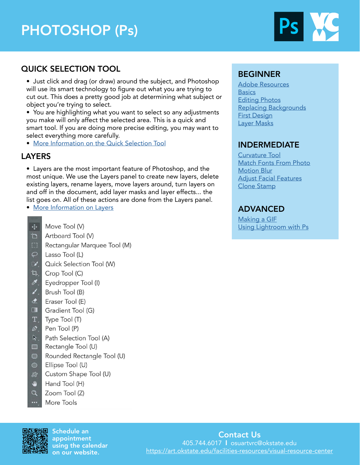# PHOTOSHOP (Ps)



# QUICK SELECTION TOOL

• Just click and drag (or draw) around the subject, and Photoshop will use its smart technology to figure out what you are trying to cut out. This does a pretty good job at determining what subject or object you're trying to select.

• You are highlighting what you want to select so any adjustments you make will only affect the selected area. This is a quick and smart tool. If you are doing more precise editing, you may want to select everything more carefully.

• [More Information on the Quick Selection Tool](https://phlearn.com/tutorial/photoshop-2020-object-select/)

# LAYERS

• Layers are the most important feature of Photoshop, and the most unique. We use the Layers panel to create new layers, delete existing layers, rename layers, move layers around, turn layers on and off in the document, add layer masks and layer effects... the list goes on. All of these actions are done from the Layers panel.

• [More Information on Layers](https://www.photoshopessentials.com/basics/understanding-photoshop-layers/)

- $\oplus$ Move Tool (V)
- Artboard Tool (V) Þ
- Rectangular Marquee Tool (M)
- $\varphi$ Lasso Tool (L)
- $\overrightarrow{a}$ Quick Selection Tool (W)
- Ί٦., Crop Tool (C)
- $\boldsymbol{\mathscr{F}}$ Eyedropper Tool (I)
- L. Brush Tool (B)
- $\bullet$ Eraser Tool (E)
- $\Box$ Gradient Tool (G)
- T. Type Tool (T)
- $\varnothing$ Pen Tool (P)
- $\lambda$ Path Selection Tool (A)
- Rectangle Tool (U)  $\Box$
- Rounded Rectangle Tool (U)  $\bigcirc$
- Ellipse Tool (U)  $\circ$
- $\vec{\omega}$ Custom Shape Tool (U)
- ₩ Hand Tool (H)
- $\alpha$ Zoom Tool (Z)
- More Tools



Schedule an appointment using the calendar on our website.

# BEGINNER

[Adobe Resources](https://helpx.adobe.com/support/photoshop.html) **[Basics](https://helpx.adobe.com/photoshop/how-to/ps-basics-fundamentals.html?playlist=/services/playlist.helpx/products:SG_PHOTOSHOP_1_1/learn-path:get-started/set-header:ccx-designer/playlist:ccl-get-started-1/en_us.json&ref=helpx.adobe.com)** [Editing Photos](https://helpx.adobe.com/photoshop/how-to/photo-editor.html?playlist=/services/playlist.helpx/products:SG_PHOTOSHOP_1_1/learn-path:key-techniques/playlist:topic/set-header:quick-starts/en_us.json&ref=helpx.adobe.com) [Replacing Backgrounds](https://helpx.adobe.com/photoshop/how-to/remove-and-replace-background.html?playlist=/services/playlist.helpx/products:SG_PHOTOSHOP_1_1/learn-path:key-techniques/set-header:photoshop-projects/playlist:topic/en_us.json&ref=helpx.adobe.com) [First Design](https://helpx.adobe.com/photoshop/how-to/graphic-design-basics.html?playlist=/services/playlist.helpx/products:SG_PHOTOSHOP_1_1/learn-path:get-started/set-header:ccx-designer/playlist:orientation/en_us.json&ref=helpx.adobe.com) [Layer Masks](https://helpx.adobe.com/photoshop/how-to/layer-mask.html?playlist=/services/playlist.helpx/products:SG_PHOTOSHOP_1_1/learn-path:key-techniques/set-header:layer-masking-projects/playlist:topic/en_us.json&ref=helpx.adobe.com)

# INDERMEDIATE

[Curvature Tool](https://helpx.adobe.com/photoshop/how-to/draw-edit-curves-curvature-tool.html?playlist=/services/playlist.helpx/products:SG_PHOTOSHOP_1_1/learn-path:intermediate-advanced/set-header:ccx-designer/playlist:orientation/en_us.json&ref=helpx.adobe.com) [Match Fonts From Photo](https://helpx.adobe.com/photoshop/how-to/match-font-image.html?playlist=/services/playlist.helpx/products:SG_PHOTOSHOP_1_1/learn-path:intermediate-advanced/set-header:ccx-designer/playlist:basictraining/en_us.json&ref=helpx.adobe.com) [Motion Blur](https://helpx.adobe.com/photoshop/how-to/add-motion-blur-effects.html?playlist=/services/playlist.helpx/products:SG_PHOTOSHOP_1_1/learn-path:intermediate-advanced/set-header:ccx-designer/playlist:basictraining/en_us.json&ref=helpx.adobe.com) [Adjust Facial Features](https://helpx.adobe.com/photoshop/how-to/face-aware-liquify.html?playlist=/services/playlist.helpx/products:SG_PHOTOSHOP_1_1/learn-path:intermediate-advanced/set-header:ccx-designer/playlist:continuinged/en_us.json&ref=helpx.adobe.com) [Clone Stamp](https://helpx.adobe.com/photoshop/how-to/clone-stamp-remove-object.html?playlist=/services/playlist.helpx/products:SG_PHOTOSHOP_1_1/learn-path:key-techniques/playlist:topic/set-header:remove-objects-from-photos/en_us.json&ref=helpx.adobe.com)

## ADVANCED

[Making a GIF](https://blog.hubspot.com/marketing/how-to-create-animated-gif-quick-tip-ht) [Using Lightroom with Ps](https://helpx.adobe.com/photoshop/how-to/lightroom-to-photoshop.html?playlist=/services/playlist.helpx/products:SG_PHOTOSHOP_1_1/learn-path:intermediate-advanced/set-header:ccx-photographer/playlist:orientation/en_us.json&ref=helpx.adobe.com)

# Contact Us

405.744.6017 l osuartvrc@okstate.edu <https://art.okstate.edu/facilities-resources/visual-resource-center>